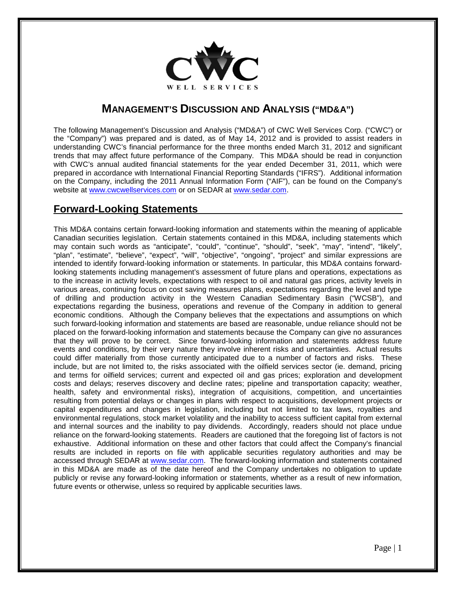

# **MANAGEMENT'S DISCUSSION AND ANALYSIS ("MD&A")**

The following Management's Discussion and Analysis ("MD&A") of CWC Well Services Corp. ("CWC") or the "Company") was prepared and is dated, as of May 14, 2012 and is provided to assist readers in understanding CWC's financial performance for the three months ended March 31, 2012 and significant trends that may affect future performance of the Company. This MD&A should be read in conjunction with CWC's annual audited financial statements for the year ended December 31, 2011, which were prepared in accordance with International Financial Reporting Standards ("IFRS"). Additional information on the Company, including the 2011 Annual Information Form ("AIF"), can be found on the Company's website at [www.cwcwellservices.com](http://www.cwcwellservices.com/) or on SEDAR at [www.sedar.com.](http://www.sedar.com/)

## **Forward-Looking Statements**

This MD&A contains certain forward-looking information and statements within the meaning of applicable Canadian securities legislation. Certain statements contained in this MD&A, including statements which may contain such words as "anticipate", "could", "continue", "should", "seek", "may", "intend", "likely", "plan", "estimate", "believe", "expect", "will", "objective", "ongoing", "project" and similar expressions are intended to identify forward-looking information or statements. In particular, this MD&A contains forwardlooking statements including management's assessment of future plans and operations, expectations as to the increase in activity levels, expectations with respect to oil and natural gas prices, activity levels in various areas, continuing focus on cost saving measures plans, expectations regarding the level and type of drilling and production activity in the Western Canadian Sedimentary Basin ("WCSB"), and expectations regarding the business, operations and revenue of the Company in addition to general economic conditions. Although the Company believes that the expectations and assumptions on which such forward-looking information and statements are based are reasonable, undue reliance should not be placed on the forward-looking information and statements because the Company can give no assurances that they will prove to be correct. Since forward-looking information and statements address future events and conditions, by their very nature they involve inherent risks and uncertainties. Actual results could differ materially from those currently anticipated due to a number of factors and risks. These include, but are not limited to, the risks associated with the oilfield services sector (ie. demand, pricing and terms for oilfield services; current and expected oil and gas prices; exploration and development costs and delays; reserves discovery and decline rates; pipeline and transportation capacity; weather, health, safety and environmental risks), integration of acquisitions, competition, and uncertainties resulting from potential delays or changes in plans with respect to acquisitions, development projects or capital expenditures and changes in legislation, including but not limited to tax laws, royalties and environmental regulations, stock market volatility and the inability to access sufficient capital from external and internal sources and the inability to pay dividends. Accordingly, readers should not place undue reliance on the forward-looking statements. Readers are cautioned that the foregoing list of factors is not exhaustive. Additional information on these and other factors that could affect the Company's financial results are included in reports on file with applicable securities regulatory authorities and may be accessed through SEDAR at [www.sedar.com.](http://www.sedar.com/) The forward-looking information and statements contained in this MD&A are made as of the date hereof and the Company undertakes no obligation to update publicly or revise any forward-looking information or statements, whether as a result of new information, future events or otherwise, unless so required by applicable securities laws.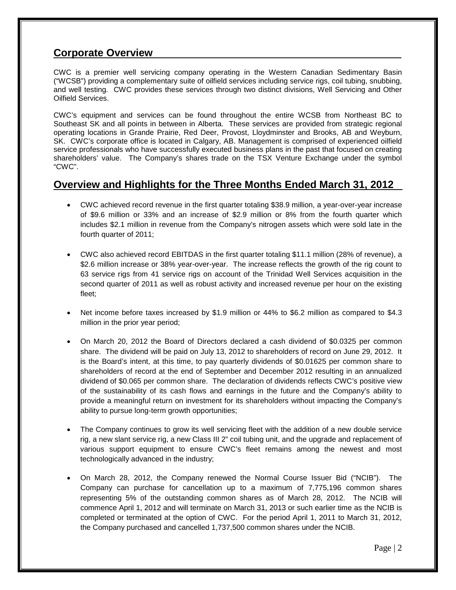# **Corporate Overview**

CWC is a premier well servicing company operating in the Western Canadian Sedimentary Basin ("WCSB") providing a complementary suite of oilfield services including service rigs, coil tubing, snubbing, and well testing. CWC provides these services through two distinct divisions, Well Servicing and Other Oilfield Services.

CWC's equipment and services can be found throughout the entire WCSB from Northeast BC to Southeast SK and all points in between in Alberta. These services are provided from strategic regional operating locations in Grande Prairie, Red Deer, Provost, Lloydminster and Brooks, AB and Weyburn, SK. CWC's corporate office is located in Calgary, AB. Management is comprised of experienced oilfield service professionals who have successfully executed business plans in the past that focused on creating shareholders' value. The Company's shares trade on the TSX Venture Exchange under the symbol "CWC".

## **Overview and Highlights for the Three Months Ended March 31, 2012**

- CWC achieved record revenue in the first quarter totaling \$38.9 million, a year-over-year increase of \$9.6 million or 33% and an increase of \$2.9 million or 8% from the fourth quarter which includes \$2.1 million in revenue from the Company's nitrogen assets which were sold late in the fourth quarter of 2011;
- CWC also achieved record EBITDAS in the first quarter totaling \$11.1 million (28% of revenue), a \$2.6 million increase or 38% year-over-year. The increase reflects the growth of the rig count to 63 service rigs from 41 service rigs on account of the Trinidad Well Services acquisition in the second quarter of 2011 as well as robust activity and increased revenue per hour on the existing fleet;
- Net income before taxes increased by \$1.9 million or 44% to \$6.2 million as compared to \$4.3 million in the prior year period;
- On March 20, 2012 the Board of Directors declared a cash dividend of \$0.0325 per common share. The dividend will be paid on July 13, 2012 to shareholders of record on June 29, 2012. It is the Board's intent, at this time, to pay quarterly dividends of \$0.01625 per common share to shareholders of record at the end of September and December 2012 resulting in an annualized dividend of \$0.065 per common share. The declaration of dividends reflects CWC's positive view of the sustainability of its cash flows and earnings in the future and the Company's ability to provide a meaningful return on investment for its shareholders without impacting the Company's ability to pursue long-term growth opportunities;
- The Company continues to grow its well servicing fleet with the addition of a new double service rig, a new slant service rig, a new Class III 2" coil tubing unit, and the upgrade and replacement of various support equipment to ensure CWC's fleet remains among the newest and most technologically advanced in the industry;
- On March 28, 2012, the Company renewed the Normal Course Issuer Bid ("NCIB"). The Company can purchase for cancellation up to a maximum of 7,775,196 common shares representing 5% of the outstanding common shares as of March 28, 2012. The NCIB will commence April 1, 2012 and will terminate on March 31, 2013 or such earlier time as the NCIB is completed or terminated at the option of CWC. For the period April 1, 2011 to March 31, 2012, the Company purchased and cancelled 1,737,500 common shares under the NCIB.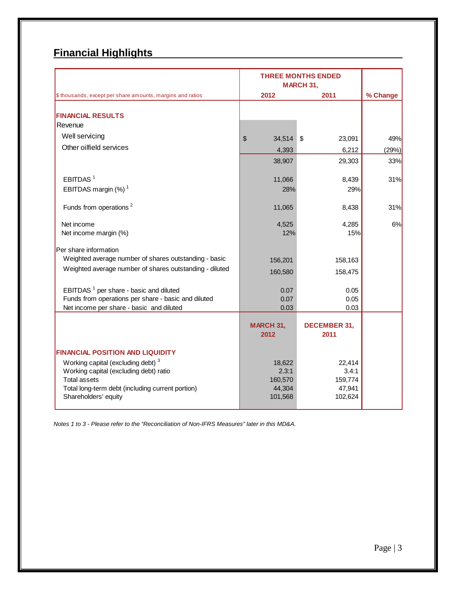# **Financial Highlights**

|                                                                         | <b>THREE MONTHS ENDED</b><br>MARCH 31, |                   |                             |          |
|-------------------------------------------------------------------------|----------------------------------------|-------------------|-----------------------------|----------|
| \$ thousands, except per share amounts, margins and ratios              |                                        | 2012              | 2011                        | % Change |
| <b>FINANCIAL RESULTS</b>                                                |                                        |                   |                             |          |
| Revenue                                                                 |                                        |                   |                             |          |
| Well servicing                                                          | $\boldsymbol{\mathsf{S}}$              | $34,514$ \$       | 23,091                      | 49%      |
| Other oilfield services                                                 |                                        | 4,393             | 6,212                       | (29%)    |
|                                                                         |                                        | 38,907            | 29,303                      | 33%      |
| EBITDAS <sup>1</sup>                                                    |                                        | 11,066            | 8,439                       | 31%      |
| EBITDAS margin (%) <sup>1</sup>                                         |                                        | 28%               | 29%                         |          |
| Funds from operations <sup>2</sup>                                      |                                        | 11,065            | 8,438                       | 31%      |
| Net income<br>Net income margin (%)                                     |                                        | 4,525<br>12%      | 4,285<br>15%                | 6%       |
| Per share information                                                   |                                        |                   |                             |          |
| Weighted average number of shares outstanding - basic                   |                                        | 156,201           | 158,163                     |          |
| Weighted average number of shares outstanding - diluted                 |                                        | 160,580           | 158,475                     |          |
| EBITDAS <sup>1</sup> per share - basic and diluted                      |                                        | 0.07              | 0.05                        |          |
| Funds from operations per share - basic and diluted                     |                                        | 0.07              | 0.05                        |          |
| Net income per share - basic and diluted                                |                                        | 0.03              | 0.03                        |          |
|                                                                         |                                        | MARCH 31,<br>2012 | <b>DECEMBER 31,</b><br>2011 |          |
| <b>FINANCIAL POSITION AND LIQUIDITY</b>                                 |                                        |                   |                             |          |
| Working capital (excluding debt) <sup>3</sup>                           |                                        | 18,622            | 22,414                      |          |
| Working capital (excluding debt) ratio                                  |                                        | 2.3:1             | 3.4:1                       |          |
| <b>Total assets</b><br>Total long-term debt (including current portion) |                                        | 160,570<br>44,304 | 159,774<br>47,941           |          |
| Shareholders' equity                                                    |                                        | 101,568           | 102,624                     |          |

*Notes 1 to 3 - Please refer to the "Reconciliation of Non-IFRS Measures" later in this MD&A.*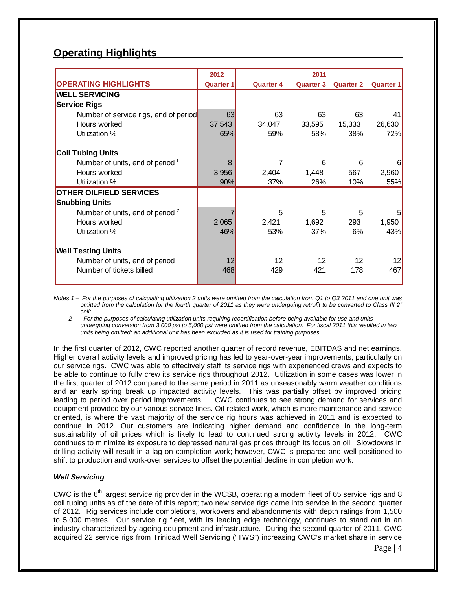# **Operating Highlights**

|                                             | 2012      |                  | 2011              |                  |                  |
|---------------------------------------------|-----------|------------------|-------------------|------------------|------------------|
| <b>OPERATING HIGHLIGHTS</b>                 | Quarter 1 | <b>Quarter 4</b> | <b>Quarter 3</b>  | <b>Quarter 2</b> | <b>Quarter 1</b> |
| <b>WELL SERVICING</b>                       |           |                  |                   |                  |                  |
| <b>Service Rigs</b>                         |           |                  |                   |                  |                  |
| Number of service rigs, end of period       | 63        | 63               | 63                | 63               | 41               |
| Hours worked                                | 37,543    | 34,047           | 33,595            | 15,333           | 26,630           |
| Utilization %                               | 65%       | 59%              | 58%               | 38%              | 72%              |
| <b>Coil Tubing Units</b>                    |           |                  |                   |                  |                  |
| Number of units, end of period <sup>1</sup> | 8         | 7                | 6                 | 6                |                  |
| Hours worked                                | 3,956     | 2,404            | 1,448             | 567              | 2,960            |
| Utilization %                               | 90%       | 37%              | 26%               | 10%              | 55%              |
| <b>OTHER OILFIELD SERVICES</b>              |           |                  |                   |                  |                  |
| <b>Snubbing Units</b>                       |           |                  |                   |                  |                  |
| Number of units, end of period <sup>2</sup> |           | 5                | 5                 | 5                |                  |
| Hours worked                                | 2,065     | 2,421            | 1,692             | 293              | 1,950            |
| Utilization %                               | 46%       | 53%              | 37%               | 6%               | 43%              |
| <b>Well Testing Units</b>                   |           |                  |                   |                  |                  |
| Number of units, end of period              | 12        | 12               | $12 \overline{ }$ | 12               |                  |
| Number of tickets billed                    | 468       | 429              | 421               | 178              | 467              |

*Notes 1 – For the purposes of calculating utilization 2 units were omitted from the calculation from Q1 to Q3 2011 and one unit was omitted from the calculation for the fourth quarter of 2011 as they were undergoing retrofit to be converted to Class III 2" coil;* 

 *2 – For the purposes of calculating utilization units requiring recertification before being available for use and units undergoing conversion from 3,000 psi to 5,000 psi were omitted from the calculation. For fiscal 2011 this resulted in two units being omitted; an additional unit has been excluded as it is used for training purposes*

In the first quarter of 2012, CWC reported another quarter of record revenue, EBITDAS and net earnings. Higher overall activity levels and improved pricing has led to year-over-year improvements, particularly on our service rigs. CWC was able to effectively staff its service rigs with experienced crews and expects to be able to continue to fully crew its service rigs throughout 2012. Utilization in some cases was lower in the first quarter of 2012 compared to the same period in 2011 as unseasonably warm weather conditions and an early spring break up impacted activity levels. This was partially offset by improved pricing leading to period over period improvements. CWC continues to see strong demand for services and equipment provided by our various service lines. Oil-related work, which is more maintenance and service oriented, is where the vast majority of the service rig hours was achieved in 2011 and is expected to continue in 2012. Our customers are indicating higher demand and confidence in the long-term sustainability of oil prices which is likely to lead to continued strong activity levels in 2012. CWC continues to minimize its exposure to depressed natural gas prices through its focus on oil. Slowdowns in drilling activity will result in a lag on completion work; however, CWC is prepared and well positioned to shift to production and work-over services to offset the potential decline in completion work.

### *Well Servicing*

CWC is the  $6<sup>th</sup>$  largest service rig provider in the WCSB, operating a modern fleet of 65 service rigs and 8 coil tubing units as of the date of this report; two new service rigs came into service in the second quarter of 2012. Rig services include completions, workovers and abandonments with depth ratings from 1,500 to 5,000 metres. Our service rig fleet, with its leading edge technology, continues to stand out in an industry characterized by ageing equipment and infrastructure. During the second quarter of 2011, CWC acquired 22 service rigs from Trinidad Well Servicing ("TWS") increasing CWC's market share in service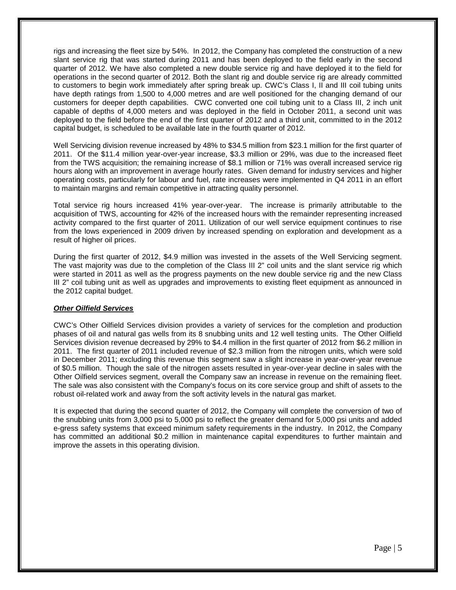rigs and increasing the fleet size by 54%. In 2012, the Company has completed the construction of a new slant service rig that was started during 2011 and has been deployed to the field early in the second quarter of 2012. We have also completed a new double service rig and have deployed it to the field for operations in the second quarter of 2012. Both the slant rig and double service rig are already committed to customers to begin work immediately after spring break up. CWC's Class I, II and III coil tubing units have depth ratings from 1,500 to 4,000 metres and are well positioned for the changing demand of our customers for deeper depth capabilities. CWC converted one coil tubing unit to a Class III, 2 inch unit capable of depths of 4,000 meters and was deployed in the field in October 2011, a second unit was deployed to the field before the end of the first quarter of 2012 and a third unit, committed to in the 2012 capital budget, is scheduled to be available late in the fourth quarter of 2012.

Well Servicing division revenue increased by 48% to \$34.5 million from \$23.1 million for the first quarter of 2011. Of the \$11.4 million year-over-year increase, \$3.3 million or 29%, was due to the increased fleet from the TWS acquisition; the remaining increase of \$8.1 million or 71% was overall increased service rig hours along with an improvement in average hourly rates. Given demand for industry services and higher operating costs, particularly for labour and fuel, rate increases were implemented in Q4 2011 in an effort to maintain margins and remain competitive in attracting quality personnel.

Total service rig hours increased 41% year-over-year. The increase is primarily attributable to the acquisition of TWS, accounting for 42% of the increased hours with the remainder representing increased activity compared to the first quarter of 2011. Utilization of our well service equipment continues to rise from the lows experienced in 2009 driven by increased spending on exploration and development as a result of higher oil prices.

During the first quarter of 2012, \$4.9 million was invested in the assets of the Well Servicing segment. The vast majority was due to the completion of the Class III 2" coil units and the slant service rig which were started in 2011 as well as the progress payments on the new double service rig and the new Class III 2" coil tubing unit as well as upgrades and improvements to existing fleet equipment as announced in the 2012 capital budget.

#### *Other Oilfield Services*

CWC's Other Oilfield Services division provides a variety of services for the completion and production phases of oil and natural gas wells from its 8 snubbing units and 12 well testing units. The Other Oilfield Services division revenue decreased by 29% to \$4.4 million in the first quarter of 2012 from \$6.2 million in 2011. The first quarter of 2011 included revenue of \$2.3 million from the nitrogen units, which were sold in December 2011; excluding this revenue this segment saw a slight increase in year-over-year revenue of \$0.5 million. Though the sale of the nitrogen assets resulted in year-over-year decline in sales with the Other Oilfield services segment, overall the Company saw an increase in revenue on the remaining fleet. The sale was also consistent with the Company's focus on its core service group and shift of assets to the robust oil-related work and away from the soft activity levels in the natural gas market.

It is expected that during the second quarter of 2012, the Company will complete the conversion of two of the snubbing units from 3,000 psi to 5,000 psi to reflect the greater demand for 5,000 psi units and added e-gress safety systems that exceed minimum safety requirements in the industry. In 2012, the Company has committed an additional \$0.2 million in maintenance capital expenditures to further maintain and improve the assets in this operating division.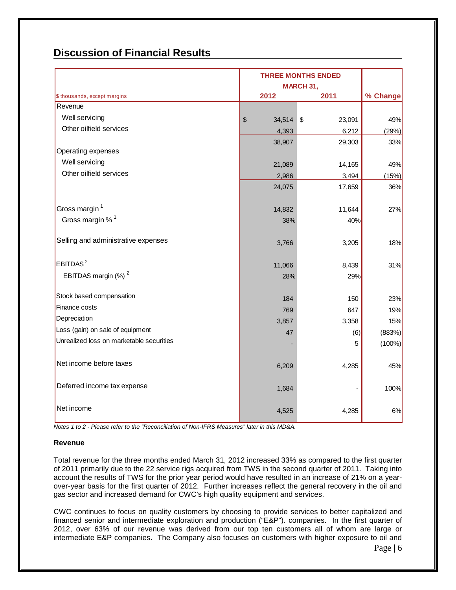# **Discussion of Financial Results**

|                                          |               | <b>THREE MONTHS ENDED</b> |                                     |          |
|------------------------------------------|---------------|---------------------------|-------------------------------------|----------|
|                                          |               | MARCH 31,                 |                                     |          |
| \$ thousands, except margins             |               | 2012                      | 2011                                | % Change |
| Revenue                                  |               |                           |                                     |          |
| Well servicing                           | $\frac{1}{2}$ | 34,514                    | $\boldsymbol{\mathsf{S}}$<br>23,091 | 49%      |
| Other oilfield services                  |               | 4,393                     | 6,212                               | (29%)    |
|                                          |               | 38,907                    | 29,303                              | 33%      |
| Operating expenses                       |               |                           |                                     |          |
| Well servicing                           |               | 21,089                    | 14,165                              | 49%      |
| Other oilfield services                  |               | 2,986                     | 3,494                               | (15%)    |
|                                          |               | 24,075                    | 17,659                              | 36%      |
| Gross margin <sup>1</sup>                |               | 14,832                    | 11,644                              | 27%      |
| Gross margin % <sup>1</sup>              |               | 38%                       | 40%                                 |          |
| Selling and administrative expenses      |               | 3,766                     | 3,205                               | 18%      |
| EBITDAS <sup>2</sup>                     |               | 11,066                    | 8,439                               | 31%      |
| EBITDAS margin (%) <sup>2</sup>          |               | 28%                       | 29%                                 |          |
| Stock based compensation                 |               | 184                       | 150                                 | 23%      |
| Finance costs                            |               | 769                       | 647                                 | 19%      |
| Depreciation                             |               | 3,857                     | 3,358                               | 15%      |
| Loss (gain) on sale of equipment         |               | 47                        | (6)                                 | (883%)   |
| Unrealized loss on marketable securities |               |                           | 5                                   | (100%)   |
| Net income before taxes                  |               | 6,209                     | 4,285                               | 45%      |
| Deferred income tax expense              |               | 1,684                     |                                     | 100%     |
| Net income                               |               | 4,525                     | 4,285                               | 6%       |

*Notes 1 to 2 - Please refer to the "Reconciliation of Non-IFRS Measures" later in this MD&A.*

#### **Revenue**

Total revenue for the three months ended March 31, 2012 increased 33% as compared to the first quarter of 2011 primarily due to the 22 service rigs acquired from TWS in the second quarter of 2011. Taking into account the results of TWS for the prior year period would have resulted in an increase of 21% on a yearover-year basis for the first quarter of 2012. Further increases reflect the general recovery in the oil and gas sector and increased demand for CWC's high quality equipment and services.

CWC continues to focus on quality customers by choosing to provide services to better capitalized and financed senior and intermediate exploration and production ("E&P"). companies. In the first quarter of 2012, over 63% of our revenue was derived from our top ten customers all of whom are large or intermediate E&P companies. The Company also focuses on customers with higher exposure to oil and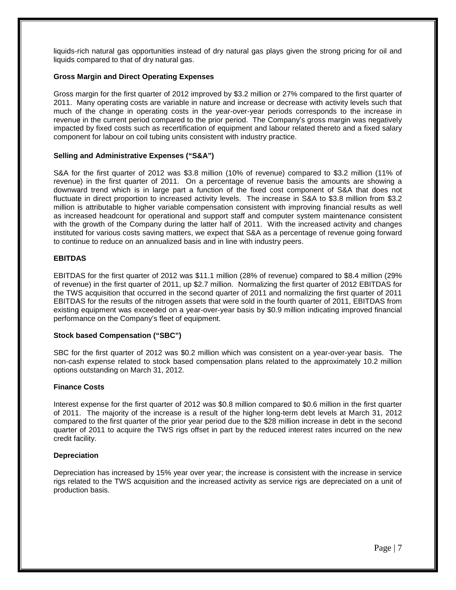liquids-rich natural gas opportunities instead of dry natural gas plays given the strong pricing for oil and liquids compared to that of dry natural gas.

#### **Gross Margin and Direct Operating Expenses**

Gross margin for the first quarter of 2012 improved by \$3.2 million or 27% compared to the first quarter of 2011. Many operating costs are variable in nature and increase or decrease with activity levels such that much of the change in operating costs in the year-over-year periods corresponds to the increase in revenue in the current period compared to the prior period. The Company's gross margin was negatively impacted by fixed costs such as recertification of equipment and labour related thereto and a fixed salary component for labour on coil tubing units consistent with industry practice.

#### **Selling and Administrative Expenses ("S&A")**

S&A for the first quarter of 2012 was \$3.8 million (10% of revenue) compared to \$3.2 million (11% of revenue) in the first quarter of 2011. On a percentage of revenue basis the amounts are showing a downward trend which is in large part a function of the fixed cost component of S&A that does not fluctuate in direct proportion to increased activity levels. The increase in S&A to \$3.8 million from \$3.2 million is attributable to higher variable compensation consistent with improving financial results as well as increased headcount for operational and support staff and computer system maintenance consistent with the growth of the Company during the latter half of 2011. With the increased activity and changes instituted for various costs saving matters, we expect that S&A as a percentage of revenue going forward to continue to reduce on an annualized basis and in line with industry peers.

#### **EBITDAS**

EBITDAS for the first quarter of 2012 was \$11.1 million (28% of revenue) compared to \$8.4 million (29% of revenue) in the first quarter of 2011, up \$2.7 million. Normalizing the first quarter of 2012 EBITDAS for the TWS acquisition that occurred in the second quarter of 2011 and normalizing the first quarter of 2011 EBITDAS for the results of the nitrogen assets that were sold in the fourth quarter of 2011, EBITDAS from existing equipment was exceeded on a year-over-year basis by \$0.9 million indicating improved financial performance on the Company's fleet of equipment.

#### **Stock based Compensation ("SBC")**

SBC for the first quarter of 2012 was \$0.2 million which was consistent on a year-over-year basis. The non-cash expense related to stock based compensation plans related to the approximately 10.2 million options outstanding on March 31, 2012.

#### **Finance Costs**

Interest expense for the first quarter of 2012 was \$0.8 million compared to \$0.6 million in the first quarter of 2011. The majority of the increase is a result of the higher long-term debt levels at March 31, 2012 compared to the first quarter of the prior year period due to the \$28 million increase in debt in the second quarter of 2011 to acquire the TWS rigs offset in part by the reduced interest rates incurred on the new credit facility.

#### **Depreciation**

Depreciation has increased by 15% year over year; the increase is consistent with the increase in service rigs related to the TWS acquisition and the increased activity as service rigs are depreciated on a unit of production basis.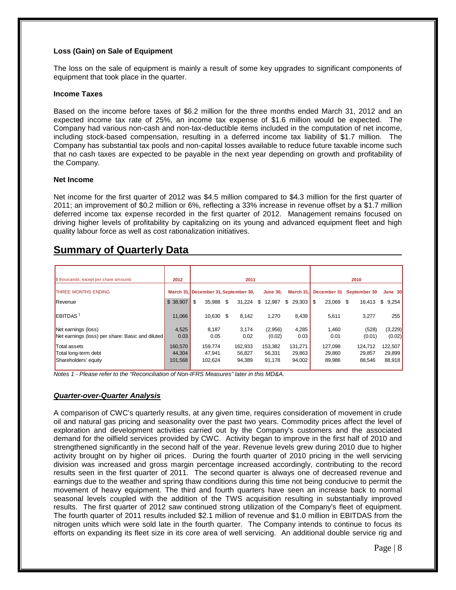#### **Loss (Gain) on Sale of Equipment**

The loss on the sale of equipment is mainly a result of some key upgrades to significant components of equipment that took place in the quarter.

#### **Income Taxes**

Based on the income before taxes of \$6.2 million for the three months ended March 31, 2012 and an expected income tax rate of 25%, an income tax expense of \$1.6 million would be expected. The Company had various non-cash and non-tax-deductible items included in the computation of net income, including stock-based compensation, resulting in a deferred income tax liability of \$1.7 million. The Company has substantial tax pools and non-capital losses available to reduce future taxable income such that no cash taxes are expected to be payable in the next year depending on growth and profitability of the Company.

#### **Net Income**

Net income for the first quarter of 2012 was \$4.5 million compared to \$4.3 million for the first quarter of 2011; an improvement of \$0.2 million or 6%, reflecting a 33% increase in revenue offset by a \$1.7 million deferred income tax expense recorded in the first quarter of 2012. Management remains focused on driving higher levels of profitability by capitalizing on its young and advanced equipment fleet and high quality labour force as well as cost rationalization initiatives.

# **Summary of Quarterly Data**

| \$ thousands, except per share amounts                       | 2012                         |                                      |                             | 2011 |                             |                             |                             | 2010                        |                             |
|--------------------------------------------------------------|------------------------------|--------------------------------------|-----------------------------|------|-----------------------------|-----------------------------|-----------------------------|-----------------------------|-----------------------------|
| <b>THREE MONTHS ENDING</b>                                   |                              | March 31, December 31, September 30, |                             |      | <b>June 30.</b>             | March 31.                   |                             | December 31 September 30    | June 30                     |
| Revenue                                                      | \$38,907                     | 35.988<br>S                          | S<br>31.224                 | S    | 12,987                      | \$29,303                    | \$.<br>23.069 \$            | 16,413                      | S.<br>9,254                 |
| $E$ BITDAS <sup>1</sup>                                      | 11.066                       | 10.630                               | \$.<br>8,142                |      | 1,270                       | 8,439                       | 5.611                       | 3.277                       | 255                         |
| Net earnings (loss)                                          | 4,525                        | 8,187                                | 3,174                       |      | (2,956)                     | 4,285                       | 1,460                       | (528)                       | (3,229)                     |
| Net earnings (loss) per share: Basic and diluted             | 0.03                         | 0.05                                 | 0.02                        |      | (0.02)                      | 0.03                        | 0.01                        | (0.01)                      | (0.02)                      |
| Total assets<br>Total long-term debt<br>Shareholders' equity | 160,570<br>44,304<br>101,568 | 159.774<br>47.941<br>102,624         | 162.933<br>56.827<br>94,389 |      | 153.382<br>56.331<br>91,178 | 131.271<br>29,863<br>94,002 | 127.098<br>29,860<br>89,986 | 124.712<br>29.857<br>88,546 | 122,507<br>29,899<br>88,918 |

*Notes 1 - Please refer to the "Reconciliation of Non-IFRS Measures" later in this MD&A.*

### *Quarter-over-Quarter Analysis*

A comparison of CWC's quarterly results, at any given time, requires consideration of movement in crude oil and natural gas pricing and seasonality over the past two years. Commodity prices affect the level of exploration and development activities carried out by the Company's customers and the associated demand for the oilfield services provided by CWC. Activity began to improve in the first half of 2010 and strengthened significantly in the second half of the year. Revenue levels grew during 2010 due to higher activity brought on by higher oil prices. During the fourth quarter of 2010 pricing in the well servicing division was increased and gross margin percentage increased accordingly, contributing to the record results seen in the first quarter of 2011. The second quarter is always one of decreased revenue and earnings due to the weather and spring thaw conditions during this time not being conducive to permit the movement of heavy equipment. The third and fourth quarters have seen an increase back to normal seasonal levels coupled with the addition of the TWS acquisition resulting in substantially improved results. The first quarter of 2012 saw continued strong utilization of the Company's fleet of equipment. The fourth quarter of 2011 results included \$2.1 million of revenue and \$1.0 million in EBITDAS from the nitrogen units which were sold late in the fourth quarter. The Company intends to continue to focus its efforts on expanding its fleet size in its core area of well servicing. An additional double service rig and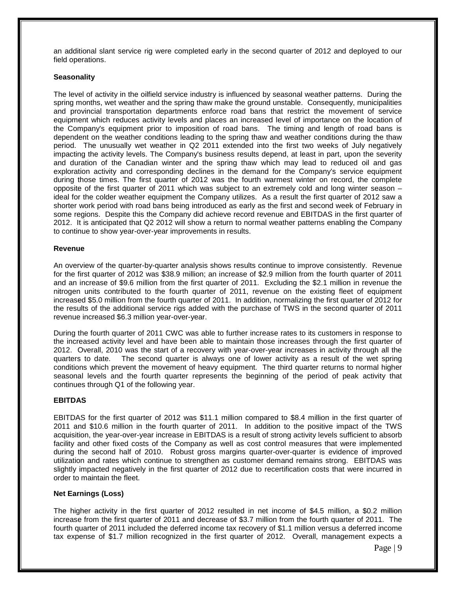an additional slant service rig were completed early in the second quarter of 2012 and deployed to our field operations.

#### **Seasonality**

The level of activity in the oilfield service industry is influenced by seasonal weather patterns. During the spring months, wet weather and the spring thaw make the ground unstable. Consequently, municipalities and provincial transportation departments enforce road bans that restrict the movement of service equipment which reduces activity levels and places an increased level of importance on the location of the Company's equipment prior to imposition of road bans. The timing and length of road bans is dependent on the weather conditions leading to the spring thaw and weather conditions during the thaw period. The unusually wet weather in Q2 2011 extended into the first two weeks of July negatively impacting the activity levels. The Company's business results depend, at least in part, upon the severity and duration of the Canadian winter and the spring thaw which may lead to reduced oil and gas exploration activity and corresponding declines in the demand for the Company's service equipment during those times. The first quarter of 2012 was the fourth warmest winter on record, the complete opposite of the first quarter of 2011 which was subject to an extremely cold and long winter season – ideal for the colder weather equipment the Company utilizes. As a result the first quarter of 2012 saw a shorter work period with road bans being introduced as early as the first and second week of February in some regions. Despite this the Company did achieve record revenue and EBITDAS in the first quarter of 2012. It is anticipated that Q2 2012 will show a return to normal weather patterns enabling the Company to continue to show year-over-year improvements in results.

#### **Revenue**

An overview of the quarter-by-quarter analysis shows results continue to improve consistently. Revenue for the first quarter of 2012 was \$38.9 million; an increase of \$2.9 million from the fourth quarter of 2011 and an increase of \$9.6 million from the first quarter of 2011. Excluding the \$2.1 million in revenue the nitrogen units contributed to the fourth quarter of 2011, revenue on the existing fleet of equipment increased \$5.0 million from the fourth quarter of 2011. In addition, normalizing the first quarter of 2012 for the results of the additional service rigs added with the purchase of TWS in the second quarter of 2011 revenue increased \$6.3 million year-over-year.

During the fourth quarter of 2011 CWC was able to further increase rates to its customers in response to the increased activity level and have been able to maintain those increases through the first quarter of 2012. Overall, 2010 was the start of a recovery with year-over-year increases in activity through all the quarters to date. The second quarter is always one of lower activity as a result of the wet spring conditions which prevent the movement of heavy equipment. The third quarter returns to normal higher seasonal levels and the fourth quarter represents the beginning of the period of peak activity that continues through Q1 of the following year.

#### **EBITDAS**

EBITDAS for the first quarter of 2012 was \$11.1 million compared to \$8.4 million in the first quarter of 2011 and \$10.6 million in the fourth quarter of 2011. In addition to the positive impact of the TWS acquisition, the year-over-year increase in EBITDAS is a result of strong activity levels sufficient to absorb facility and other fixed costs of the Company as well as cost control measures that were implemented during the second half of 2010. Robust gross margins quarter-over-quarter is evidence of improved utilization and rates which continue to strengthen as customer demand remains strong. EBITDAS was slightly impacted negatively in the first quarter of 2012 due to recertification costs that were incurred in order to maintain the fleet.

#### **Net Earnings (Loss)**

The higher activity in the first quarter of 2012 resulted in net income of \$4.5 million, a \$0.2 million increase from the first quarter of 2011 and decrease of \$3.7 million from the fourth quarter of 2011. The fourth quarter of 2011 included the deferred income tax recovery of \$1.1 million versus a deferred income tax expense of \$1.7 million recognized in the first quarter of 2012. Overall, management expects a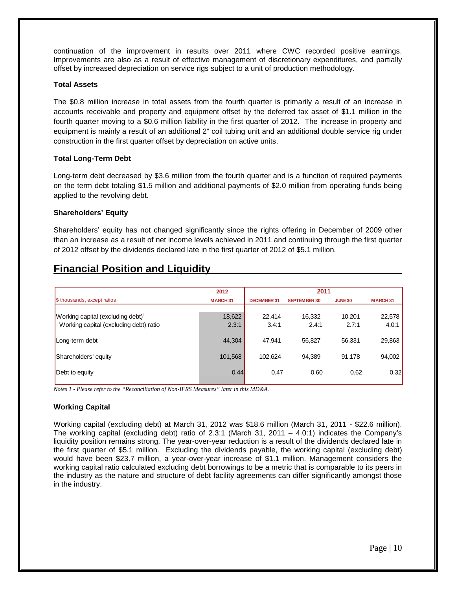continuation of the improvement in results over 2011 where CWC recorded positive earnings. Improvements are also as a result of effective management of discretionary expenditures, and partially offset by increased depreciation on service rigs subject to a unit of production methodology.

#### **Total Assets**

The \$0.8 million increase in total assets from the fourth quarter is primarily a result of an increase in accounts receivable and property and equipment offset by the deferred tax asset of \$1.1 million in the fourth quarter moving to a \$0.6 million liability in the first quarter of 2012. The increase in property and equipment is mainly a result of an additional 2" coil tubing unit and an additional double service rig under construction in the first quarter offset by depreciation on active units.

### **Total Long-Term Debt**

Long-term debt decreased by \$3.6 million from the fourth quarter and is a function of required payments on the term debt totaling \$1.5 million and additional payments of \$2.0 million from operating funds being applied to the revolving debt.

#### **Shareholders' Equity**

Shareholders' equity has not changed significantly since the rights offering in December of 2009 other than an increase as a result of net income levels achieved in 2011 and continuing through the first quarter of 2012 offset by the dividends declared late in the first quarter of 2012 of \$5.1 million.

# **Financial Position and Liquidity**

|                                                      | 2012           | 2011               |                     |                |                |
|------------------------------------------------------|----------------|--------------------|---------------------|----------------|----------------|
| \$ thousands, except ratios                          | <b>MARCH31</b> | <b>DECEMBER 31</b> | <b>SEPTEMBER 30</b> | <b>JUNE 30</b> | <b>MARCH31</b> |
|                                                      |                |                    |                     |                |                |
| <b>Working capital (excluding debt)</b> <sup>1</sup> | 18,622         | 22.414             | 16,332              | 10,201         | 22,578         |
| Working capital (excluding debt) ratio               | 2.3:1          | 3.4:1              | 2.4:1               | 2.7:1          | 4.0:1          |
|                                                      |                |                    |                     |                |                |
| Long-term debt                                       | 44,304         | 47.941             | 56.827              | 56,331         | 29,863         |
|                                                      |                |                    |                     |                |                |
| Shareholders' equity                                 | 101,568        | 102.624            | 94.389              | 91,178         | 94,002         |
|                                                      |                |                    |                     |                |                |
| Debt to equity                                       | 0.44           | 0.47               | 0.60                | 0.62           | 0.32           |
|                                                      |                |                    |                     |                |                |

*Notes 1 - Please refer to the "Reconciliation of Non-IFRS Measures" later in this MD&A.*

### **Working Capital**

Working capital (excluding debt) at March 31, 2012 was \$18.6 million (March 31, 2011 - \$22.6 million). The working capital (excluding debt) ratio of 2.3:1 (March 31, 2011 – 4.0:1) indicates the Company's liquidity position remains strong. The year-over-year reduction is a result of the dividends declared late in the first quarter of \$5.1 million. Excluding the dividends payable, the working capital (excluding debt) would have been \$23.7 million, a year-over-year increase of \$1.1 million. Management considers the working capital ratio calculated excluding debt borrowings to be a metric that is comparable to its peers in the industry as the nature and structure of debt facility agreements can differ significantly amongst those in the industry.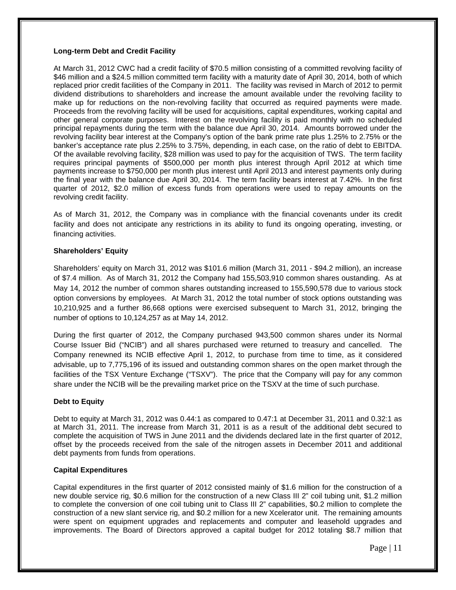#### **Long-term Debt and Credit Facility**

At March 31, 2012 CWC had a credit facility of \$70.5 million consisting of a committed revolving facility of \$46 million and a \$24.5 million committed term facility with a maturity date of April 30, 2014, both of which replaced prior credit facilities of the Company in 2011. The facility was revised in March of 2012 to permit dividend distributions to shareholders and increase the amount available under the revolving facility to make up for reductions on the non-revolving facility that occurred as required payments were made. Proceeds from the revolving facility will be used for acquisitions, capital expenditures, working capital and other general corporate purposes. Interest on the revolving facility is paid monthly with no scheduled principal repayments during the term with the balance due April 30, 2014. Amounts borrowed under the revolving facility bear interest at the Company's option of the bank prime rate plus 1.25% to 2.75% or the banker's acceptance rate plus 2.25% to 3.75%, depending, in each case, on the ratio of debt to EBITDA. Of the available revolving facility, \$28 million was used to pay for the acquisition of TWS. The term facility requires principal payments of \$500,000 per month plus interest through April 2012 at which time payments increase to \$750,000 per month plus interest until April 2013 and interest payments only during the final year with the balance due April 30, 2014. The term facility bears interest at 7.42%. In the first quarter of 2012, \$2.0 million of excess funds from operations were used to repay amounts on the revolving credit facility.

As of March 31, 2012, the Company was in compliance with the financial covenants under its credit facility and does not anticipate any restrictions in its ability to fund its ongoing operating, investing, or financing activities.

#### **Shareholders' Equity**

Shareholders' equity on March 31, 2012 was \$101.6 million (March 31, 2011 - \$94.2 million), an increase of \$7.4 million. As of March 31, 2012 the Company had 155,503,910 common shares oustanding. As at May 14, 2012 the number of common shares outstanding increased to 155,590,578 due to various stock option conversions by employees. At March 31, 2012 the total number of stock options outstanding was 10,210,925 and a further 86,668 options were exercised subsequent to March 31, 2012, bringing the number of options to 10,124,257 as at May 14, 2012.

During the first quarter of 2012, the Company purchased 943,500 common shares under its Normal Course Issuer Bid ("NCIB") and all shares purchased were returned to treasury and cancelled. The Company renewned its NCIB effective April 1, 2012, to purchase from time to time, as it considered advisable, up to 7,775,196 of its issued and outstanding common shares on the open market through the facilities of the TSX Venture Exchange ("TSXV"). The price that the Company will pay for any common share under the NCIB will be the prevailing market price on the TSXV at the time of such purchase.

#### **Debt to Equity**

Debt to equity at March 31, 2012 was 0.44:1 as compared to 0.47:1 at December 31, 2011 and 0.32:1 as at March 31, 2011. The increase from March 31, 2011 is as a result of the additional debt secured to complete the acquisition of TWS in June 2011 and the dividends declared late in the first quarter of 2012, offset by the proceeds received from the sale of the nitrogen assets in December 2011 and additional debt payments from funds from operations.

#### **Capital Expenditures**

Capital expenditures in the first quarter of 2012 consisted mainly of \$1.6 million for the construction of a new double service rig, \$0.6 million for the construction of a new Class III 2" coil tubing unit, \$1.2 million to complete the conversion of one coil tubing unit to Class III 2" capabilities, \$0.2 million to complete the construction of a new slant service rig, and \$0.2 million for a new Xcelerator unit. The remaining amounts were spent on equipment upgrades and replacements and computer and leasehold upgrades and improvements. The Board of Directors approved a capital budget for 2012 totaling \$8.7 million that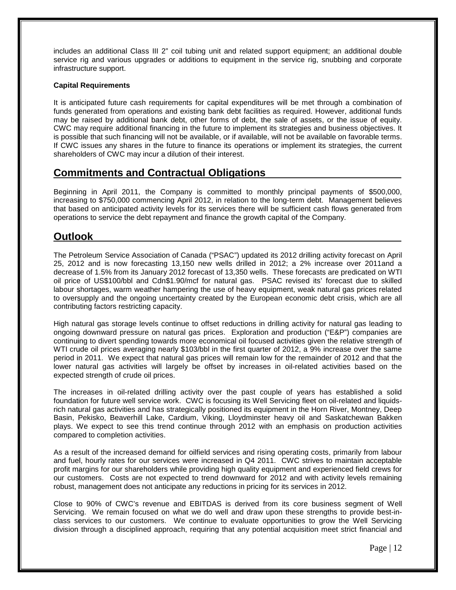includes an additional Class III 2" coil tubing unit and related support equipment; an additional double service rig and various upgrades or additions to equipment in the service rig, snubbing and corporate infrastructure support.

#### **Capital Requirements**

It is anticipated future cash requirements for capital expenditures will be met through a combination of funds generated from operations and existing bank debt facilities as required. However, additional funds may be raised by additional bank debt, other forms of debt, the sale of assets, or the issue of equity. CWC may require additional financing in the future to implement its strategies and business objectives. It is possible that such financing will not be available, or if available, will not be available on favorable terms. If CWC issues any shares in the future to finance its operations or implement its strategies, the current shareholders of CWC may incur a dilution of their interest.

# **Commitments and Contractual Obligations**

Beginning in April 2011, the Company is committed to monthly principal payments of \$500,000, increasing to \$750,000 commencing April 2012, in relation to the long-term debt. Management believes that based on anticipated activity levels for its services there will be sufficient cash flows generated from operations to service the debt repayment and finance the growth capital of the Company.

# **Outlook**

The Petroleum Service Association of Canada ("PSAC") updated its 2012 drilling activity forecast on April 25, 2012 and is now forecasting 13,150 new wells drilled in 2012; a 2% increase over 2011and a decrease of 1.5% from its January 2012 forecast of 13,350 wells. These forecasts are predicated on WTI oil price of US\$100/bbl and Cdn\$1.90/mcf for natural gas. PSAC revised its' forecast due to skilled labour shortages, warm weather hampering the use of heavy equipment, weak natural gas prices related to oversupply and the ongoing uncertainty created by the European economic debt crisis, which are all contributing factors restricting capacity.

High natural gas storage levels continue to offset reductions in drilling activity for natural gas leading to ongoing downward pressure on natural gas prices. Exploration and production ("E&P") companies are continuing to divert spending towards more economical oil focused activities given the relative strength of WTI crude oil prices averaging nearly \$103/bbl in the first quarter of 2012, a 9% increase over the same period in 2011. We expect that natural gas prices will remain low for the remainder of 2012 and that the lower natural gas activities will largely be offset by increases in oil-related activities based on the expected strength of crude oil prices.

The increases in oil-related drilling activity over the past couple of years has established a solid foundation for future well service work. CWC is focusing its Well Servicing fleet on oil-related and liquidsrich natural gas activities and has strategically positioned its equipment in the Horn River, Montney, Deep Basin, Pekisko, Beaverhill Lake, Cardium, Viking, Lloydminster heavy oil and Saskatchewan Bakken plays. We expect to see this trend continue through 2012 with an emphasis on production activities compared to completion activities.

As a result of the increased demand for oilfield services and rising operating costs, primarily from labour and fuel, hourly rates for our services were increased in Q4 2011. CWC strives to maintain acceptable profit margins for our shareholders while providing high quality equipment and experienced field crews for our customers. Costs are not expected to trend downward for 2012 and with activity levels remaining robust, management does not anticipate any reductions in pricing for its services in 2012.

Close to 90% of CWC's revenue and EBITDAS is derived from its core business segment of Well Servicing. We remain focused on what we do well and draw upon these strengths to provide best-inclass services to our customers. We continue to evaluate opportunities to grow the Well Servicing division through a disciplined approach, requiring that any potential acquisition meet strict financial and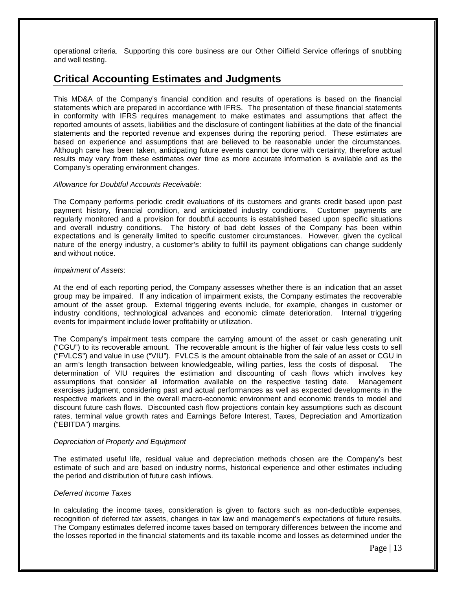operational criteria. Supporting this core business are our Other Oilfield Service offerings of snubbing and well testing.

## **Critical Accounting Estimates and Judgments**

This MD&A of the Company's financial condition and results of operations is based on the financial statements which are prepared in accordance with IFRS. The presentation of these financial statements in conformity with IFRS requires management to make estimates and assumptions that affect the reported amounts of assets, liabilities and the disclosure of contingent liabilities at the date of the financial statements and the reported revenue and expenses during the reporting period. These estimates are based on experience and assumptions that are believed to be reasonable under the circumstances. Although care has been taken, anticipating future events cannot be done with certainty, therefore actual results may vary from these estimates over time as more accurate information is available and as the Company's operating environment changes.

#### *Allowance for Doubtful Accounts Receivable:*

The Company performs periodic credit evaluations of its customers and grants credit based upon past payment history, financial condition, and anticipated industry conditions. Customer payments are regularly monitored and a provision for doubtful accounts is established based upon specific situations and overall industry conditions. The history of bad debt losses of the Company has been within expectations and is generally limited to specific customer circumstances. However, given the cyclical nature of the energy industry, a customer's ability to fulfill its payment obligations can change suddenly and without notice.

#### *Impairment of Assets*:

At the end of each reporting period, the Company assesses whether there is an indication that an asset group may be impaired. If any indication of impairment exists, the Company estimates the recoverable amount of the asset group. External triggering events include, for example, changes in customer or industry conditions, technological advances and economic climate deterioration. Internal triggering events for impairment include lower profitability or utilization.

The Company's impairment tests compare the carrying amount of the asset or cash generating unit ("CGU") to its recoverable amount. The recoverable amount is the higher of fair value less costs to sell ("FVLCS") and value in use ("VIU"). FVLCS is the amount obtainable from the sale of an asset or CGU in an arm's length transaction between knowledgeable, willing parties, less the costs of disposal. The determination of VIU requires the estimation and discounting of cash flows which involves key assumptions that consider all information available on the respective testing date. Management exercises judgment, considering past and actual performances as well as expected developments in the respective markets and in the overall macro-economic environment and economic trends to model and discount future cash flows. Discounted cash flow projections contain key assumptions such as discount rates, terminal value growth rates and Earnings Before Interest, Taxes, Depreciation and Amortization ("EBITDA") margins.

#### *Depreciation of Property and Equipment*

The estimated useful life, residual value and depreciation methods chosen are the Company's best estimate of such and are based on industry norms, historical experience and other estimates including the period and distribution of future cash inflows.

#### *Deferred Income Taxes*

In calculating the income taxes, consideration is given to factors such as non-deductible expenses, recognition of deferred tax assets, changes in tax law and management's expectations of future results. The Company estimates deferred income taxes based on temporary differences between the income and the losses reported in the financial statements and its taxable income and losses as determined under the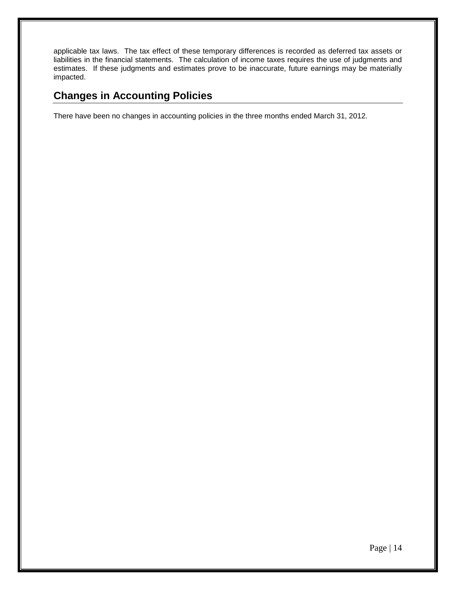applicable tax laws. The tax effect of these temporary differences is recorded as deferred tax assets or liabilities in the financial statements. The calculation of income taxes requires the use of judgments and estimates. If these judgments and estimates prove to be inaccurate, future earnings may be materially impacted.

# **Changes in Accounting Policies**

There have been no changes in accounting policies in the three months ended March 31, 2012.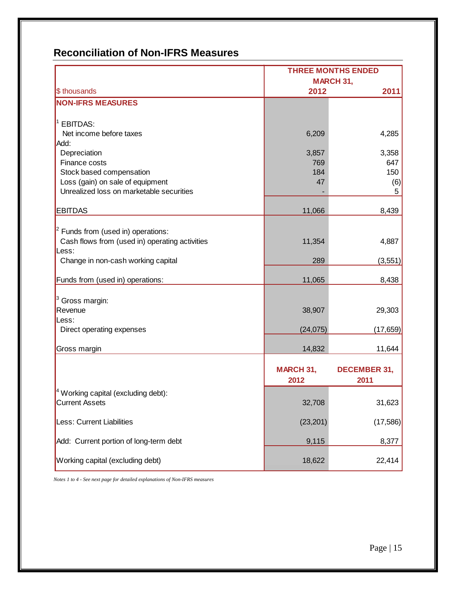# **Reconciliation of Non-IFRS Measures**

|                                                | <b>THREE MONTHS ENDED</b> |                     |  |
|------------------------------------------------|---------------------------|---------------------|--|
|                                                | MARCH 31,                 |                     |  |
| \$ thousands                                   | 2012                      | 2011                |  |
| <b>NON-IFRS MEASURES</b>                       |                           |                     |  |
|                                                |                           |                     |  |
| <b>EBITDAS:</b>                                |                           |                     |  |
| Net income before taxes                        | 6,209                     | 4,285               |  |
| Add:                                           |                           |                     |  |
| Depreciation                                   | 3,857                     | 3,358               |  |
| Finance costs                                  | 769                       | 647                 |  |
| Stock based compensation                       | 184                       | 150                 |  |
| Loss (gain) on sale of equipment               | 47                        | (6)                 |  |
| Unrealized loss on marketable securities       |                           | 5                   |  |
| <b>EBITDAS</b>                                 | 11,066                    | 8,439               |  |
|                                                |                           |                     |  |
| $\vert^2$ Funds from (used in) operations:     |                           |                     |  |
| Cash flows from (used in) operating activities | 11,354                    | 4,887               |  |
| Less:                                          |                           |                     |  |
| Change in non-cash working capital             | 289                       | (3, 551)            |  |
|                                                |                           |                     |  |
| Funds from (used in) operations:               | 11,065                    | 8,438               |  |
|                                                |                           |                     |  |
| ľЗ<br>Gross margin:                            |                           |                     |  |
| Revenue                                        | 38,907                    | 29,303              |  |
| Less:                                          |                           |                     |  |
| Direct operating expenses                      | (24, 075)                 | (17, 659)           |  |
| Gross margin                                   | 14,832                    | 11,644              |  |
|                                                |                           |                     |  |
|                                                | <b>MARCH 31,</b>          | <b>DECEMBER 31,</b> |  |
|                                                | 2012                      | 2011                |  |
| <sup>4</sup> Working capital (excluding debt): |                           |                     |  |
| <b>Current Assets</b>                          | 32,708                    | 31,623              |  |
|                                                |                           |                     |  |
| Less: Current Liabilities                      | (23, 201)                 | (17,586)            |  |
|                                                |                           |                     |  |
| Add: Current portion of long-term debt         | 9,115                     | 8,377               |  |
| Working capital (excluding debt)               | 18,622                    | 22,414              |  |

*Notes 1 to 4 - See next page for detailed explanations of Non-IFRS measures*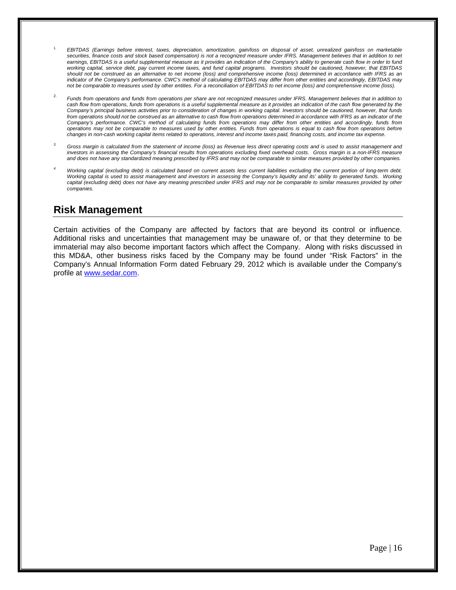- 1. *EBITDAS (Earnings before interest, taxes, depreciation, amortization, gain/loss on disposal of asset, unrealized gain/loss on marketable securities, finance costs and stock based compensation) is not a recognized measure under IFRS. Management believes that in addition to net earnings, EBITDAS is a useful supplemental measure as it provides an indication of the Company's ability to generate cash flow in order to fund working capital, service debt, pay current income taxes, and fund capital programs. Investors should be cautioned, however, that EBITDAS should not be construed as an alternative to net income (loss) and comprehensive income (loss) determined in accordance with IFRS as an*  indicator of the Company's performance. CWC's method of calculating EBITDAS may differ from other entities and accordingly, EBITDAS may *not be comparable to measures used by other entities. For a reconciliation of EBITDAS to net income (loss) and comprehensive income (loss).*
- 2. *Funds from operations and funds from operations per share are not recognized measures under IFRS. Management believes that in addition to cash flow from operations, funds from operations is a useful supplemental measure as it provides an indication of the cash flow generated by the Company's principal business activities prior to consideration of changes in working capital. Investors should be cautioned, however, that funds from operations should not be construed as an alternative to cash flow from operations determined in accordance with IFRS as an indicator of the Company's performance. CWC's method of calculating funds from operations may differ from other entities and accordingly, funds from operations may not be comparable to measures used by other entities. Funds from operations is equal to cash flow from operations before changes in non-cash working capital items related to operations, interest and income taxes paid, financing costs, and income tax expense.*
- *3. Gross margin is calculated from the statement of income (loss) as Revenue less direct operating costs and is used to assist management and investors in assessing the Company's financial results from operations excluding fixed overhead costs. Gross margin is a non-IFRS measure and does not have any standardized meaning prescribed by IFRS and may not be comparable to similar measures provided by other companies.*
- *4. Working capital (excluding debt) is calculated based on current assets less current liabilities excluding the current portion of long-term debt. Working capital is used to assist management and investors in assessing the Company's liquidity and its' ability to generated funds. Working capital (excluding debt) does not have any meaning prescribed under IFRS and may not be comparable to similar measures provided by other companies.*

## **Risk Management**

Certain activities of the Company are affected by factors that are beyond its control or influence. Additional risks and uncertainties that management may be unaware of, or that they determine to be immaterial may also become important factors which affect the Company. Along with risks discussed in this MD&A, other business risks faced by the Company may be found under "Risk Factors" in the Company's Annual Information Form dated February 29, 2012 which is available under the Company's profile at [www.sedar.com.](http://www.sedar.com/)